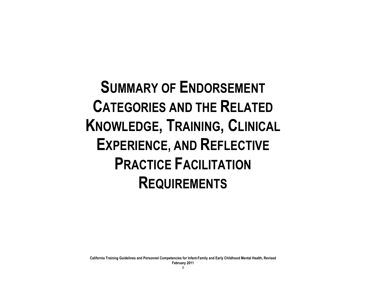**SUMMARY OF ENDORSEMENT CATEGORIES AND THE RELATED KNOWLEDGE, TRAINING, CLINICAL EXPERIENCE, AND REFLECTIVE PRACTICE FACILITATION REQUIREMENTS**

**California Training Guidelines and Personnel Competencies for Infant-Family and Early Childhood Mental Health, Revised**

**February 2011**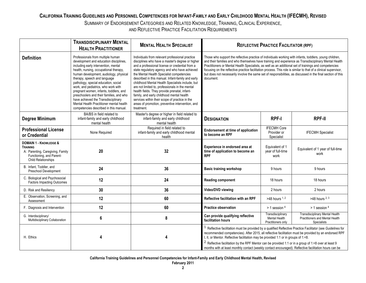## **CALIFORNIA TRAINING GUIDELINES AND PERSONNEL COMPETENCIES FOR INFANT-FAMILY AND EARLY CHILDHOOD MENTAL HEALTH (IFECMH), REVISED**  SUMMARY OF ENDORSEMENT CATEGORIES AND RELATED KNOWLEDGE, TRAINING, CLINICAL EXPERIENCE,

AND REFLECTIVE PRACTICE FACILITATION REQUIREMENTS

|                                                                                                                                                    | <b>TRANSDISCIPLINARY MENTAL</b><br><b>HEALTH PRACTITIONER</b>                                                                                                                                                                                                                                                                                                                                                                                                                                                                             | <b>MENTAL HEALTH SPECIALIST</b>                                                                                                                                                                                                                                                                                                                                                                                                                                                                                                                                                                                                    | <b>REFLECTIVE PRACTICE FACILITATOR (RPF)</b>                                                                                                                                                                                                                                                                                                                                                                                                                                                                                                                                 |                                                          |                                                                                                 |
|----------------------------------------------------------------------------------------------------------------------------------------------------|-------------------------------------------------------------------------------------------------------------------------------------------------------------------------------------------------------------------------------------------------------------------------------------------------------------------------------------------------------------------------------------------------------------------------------------------------------------------------------------------------------------------------------------------|------------------------------------------------------------------------------------------------------------------------------------------------------------------------------------------------------------------------------------------------------------------------------------------------------------------------------------------------------------------------------------------------------------------------------------------------------------------------------------------------------------------------------------------------------------------------------------------------------------------------------------|------------------------------------------------------------------------------------------------------------------------------------------------------------------------------------------------------------------------------------------------------------------------------------------------------------------------------------------------------------------------------------------------------------------------------------------------------------------------------------------------------------------------------------------------------------------------------|----------------------------------------------------------|-------------------------------------------------------------------------------------------------|
| <b>Definition</b>                                                                                                                                  | Professionals from multiple human<br>development and education disciplines,<br>including early intervention, mental<br>health, nursing, occupational therapy,<br>human development, audiology, physical<br>therapy, speech and language<br>pathology, special education, social<br>work, and pediatrics, who work with<br>pregnant women, infants, toddlers, and<br>preschoolers and their families, and who<br>have achieved the Transdisciplinary<br>Mental Health Practitioner mental health<br>competencies described in this manual. | Individuals from relevant professional practice<br>disciplines who have a master's degree or higher<br>and a professional license or credential from a<br>state regulatory agency and who have achieved<br>the Mental Health Specialist competencies<br>described in this manual. Infant-family and early<br>childhood Mental Health Specialists include, but<br>are not limited to, professionals in the mental<br>health fields. They provide prenatal, infant-<br>family, and early childhood mental health<br>services within their scope of practice in the<br>areas of promotion, preventive intervention, and<br>treatment. | Those who support the reflective practice of individuals working with infants, toddlers, young children,<br>and their families and who themselves have training and experience as Transdisciplinary Mental Health<br>Practitioners or Mental Health Specialists, as well as an additional set of trainings and competencies<br>focusing on the reflective practice facilitation process. This role is similar to that of a clinical supervisor,<br>but does not necessarily involve the same set of responsibilities, as discussed in the final section of this<br>document. |                                                          |                                                                                                 |
| <b>Degree Minimum</b>                                                                                                                              | BA/BS in field related to<br>infant-family and early childhood<br>mental health                                                                                                                                                                                                                                                                                                                                                                                                                                                           | Master's degree or higher in field related to<br>infant-family and early childhood<br>mental health                                                                                                                                                                                                                                                                                                                                                                                                                                                                                                                                | <b>DESIGNATION</b>                                                                                                                                                                                                                                                                                                                                                                                                                                                                                                                                                           | <b>RPF-I</b>                                             | <b>RPF-II</b>                                                                                   |
| <b>Professional License</b><br>or Credential                                                                                                       | None Required                                                                                                                                                                                                                                                                                                                                                                                                                                                                                                                             | Required in field related to<br>infant-family and early childhood mental<br>health                                                                                                                                                                                                                                                                                                                                                                                                                                                                                                                                                 | <b>Endorsement at time of application</b><br>to become an RPF                                                                                                                                                                                                                                                                                                                                                                                                                                                                                                                | <b>IFECMH Core</b><br>Provider or<br>Specialist          | <b>IFECMH</b> Specialist                                                                        |
| <b>DOMAIN 1 - KNOWLEDGE &amp;</b><br><b>TRAINING</b><br>A: Parenting, Caregiving, Family<br>Functioning, and Parent-<br><b>Child Relationships</b> | 20                                                                                                                                                                                                                                                                                                                                                                                                                                                                                                                                        | 32                                                                                                                                                                                                                                                                                                                                                                                                                                                                                                                                                                                                                                 | Experience in endorsed area at<br>time of application to become an<br><b>RPF</b>                                                                                                                                                                                                                                                                                                                                                                                                                                                                                             | Equivalent of 1<br>year of full-time<br>work             | Equivalent of 1 year of full-time<br>work                                                       |
| B. Infant, Toddler, and<br>Preschool Development                                                                                                   | 24                                                                                                                                                                                                                                                                                                                                                                                                                                                                                                                                        | 36                                                                                                                                                                                                                                                                                                                                                                                                                                                                                                                                                                                                                                 | <b>Basic training workshop</b>                                                                                                                                                                                                                                                                                                                                                                                                                                                                                                                                               | 9 hours                                                  | 9 hours                                                                                         |
| C. Biological and Psychosocial<br><b>Factors Impacting Outcomes</b>                                                                                | 12                                                                                                                                                                                                                                                                                                                                                                                                                                                                                                                                        | 24                                                                                                                                                                                                                                                                                                                                                                                                                                                                                                                                                                                                                                 | <b>Reading component</b>                                                                                                                                                                                                                                                                                                                                                                                                                                                                                                                                                     | 18 hours                                                 | 18 hours                                                                                        |
| D. Risk and Resiliency                                                                                                                             | 30                                                                                                                                                                                                                                                                                                                                                                                                                                                                                                                                        | 36                                                                                                                                                                                                                                                                                                                                                                                                                                                                                                                                                                                                                                 | Video/DVD viewing                                                                                                                                                                                                                                                                                                                                                                                                                                                                                                                                                            | 2 hours                                                  | 2 hours                                                                                         |
| E. Observation, Screening, and<br>Assessment                                                                                                       | 12                                                                                                                                                                                                                                                                                                                                                                                                                                                                                                                                        | 60                                                                                                                                                                                                                                                                                                                                                                                                                                                                                                                                                                                                                                 | Reflective facilitation with an RPF                                                                                                                                                                                                                                                                                                                                                                                                                                                                                                                                          | $>48$ hours $1, 2$                                       | >48 hours $2, 3$                                                                                |
| F. Diagnosis and Intervention                                                                                                                      | 12                                                                                                                                                                                                                                                                                                                                                                                                                                                                                                                                        | 60                                                                                                                                                                                                                                                                                                                                                                                                                                                                                                                                                                                                                                 | <b>Practice observation</b>                                                                                                                                                                                                                                                                                                                                                                                                                                                                                                                                                  | $> 1$ session $4$                                        | $> 1$ session $4$                                                                               |
| G. Interdisciplinary/<br>Multidisciplinary Collaboration                                                                                           | 6                                                                                                                                                                                                                                                                                                                                                                                                                                                                                                                                         | 8                                                                                                                                                                                                                                                                                                                                                                                                                                                                                                                                                                                                                                  | Can provide qualifying reflective<br>facilitation hours                                                                                                                                                                                                                                                                                                                                                                                                                                                                                                                      | Transdisciplinary<br>Mental Health<br>Practitioners only | <b>Transdisciplinary Mental Health</b><br>Practitioners and Mental Health<br><b>Specialists</b> |
| H. Ethics                                                                                                                                          | 4                                                                                                                                                                                                                                                                                                                                                                                                                                                                                                                                         |                                                                                                                                                                                                                                                                                                                                                                                                                                                                                                                                                                                                                                    | $1$ Reflective facilitation must be provided by a qualified Reflective Practice Facilitator (see Guidelines for<br>recommended competencies). After 2015, all reflective facilitation must be provided by an endorsed RPF<br>I, II, or Mentor. Reflective facilitation may be provided 1:1 or in groups of 1:<8.<br><sup>2</sup> Reflective facilitation by the RPF Mentor can be provided 1:1 or in a group of 1:<8 over at least 9<br>months with at least monthly contact (weekly contact encouraged). Reflective facilitation hours can be                               |                                                          |                                                                                                 |

**California Training Guidelines and Personnel Competencies for Infant-Family and Early Childhood Mental Health, Revised**

**February 2011**